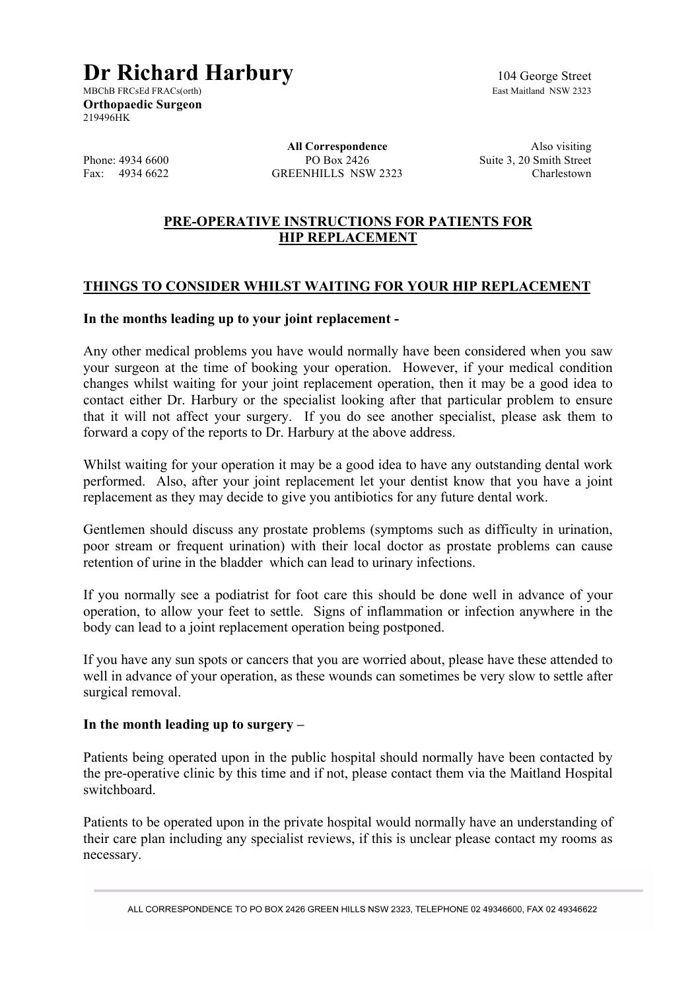# **Dr Richard Harbury** 104 George Street<br>MBChB FRCsEd FRACs(orth)<br>East Maitland NSW 2323

MBChB FRCsEd FRACs(orth) **Orthopaedic Surgeon** 219496HK

Phone: 4934 6600 PO Box 2426 Suite 3, 20 Smith Street<br>Fax: 4934 6622 GREENHILLS NSW 2323 Charlestown GREENHILLS NSW 2323

**All Correspondence** Also visiting

## **PRE-OPERATIVE INSTRUCTIONS FOR PATIENTS FOR HIP REPLACEMENT**

## **THINGS TO CONSIDER WHILST WAITING FOR YOUR HIP REPLACEMENT**

#### **In the months leading up to your joint replacement -**

Any other medical problems you have would normally have been considered when you saw your surgeon at the time of booking your operation. However, if your medical condition changes whilst waiting for your joint replacement operation, then it may be a good idea to contact either Dr. Harbury or the specialist looking after that particular problem to ensure that it will not affect your surgery. If you do see another specialist, please ask them to forward a copy of the reports to Dr. Harbury at the above address.

Whilst waiting for your operation it may be a good idea to have any outstanding dental work performed. Also, after your joint replacement let your dentist know that you have a joint replacement as they may decide to give you antibiotics for any future dental work.

Gentlemen should discuss any prostate problems (symptoms such as difficulty in urination, poor stream or frequent urination) with their local doctor as prostate problems can cause retention of urine in the bladder which can lead to urinary infections.

If you normally see a podiatrist for foot care this should be done well in advance of your operation, to allow your feet to settle. Signs of inflammation or infection anywhere in the body can lead to a joint replacement operation being postponed.

If you have any sun spots or cancers that you are worried about, please have these attended to well in advance of your operation, as these wounds can sometimes be very slow to settle after surgical removal.

#### **In the month leading up to surgery –**

Patients being operated upon in the public hospital should normally have been contacted by the pre-operative clinic by this time and if not, please contact them via the Maitland Hospital switchboard.

Patients to be operated upon in the private hospital would normally have an understanding of their care plan including any specialist reviews, if this is unclear please contact my rooms as necessary.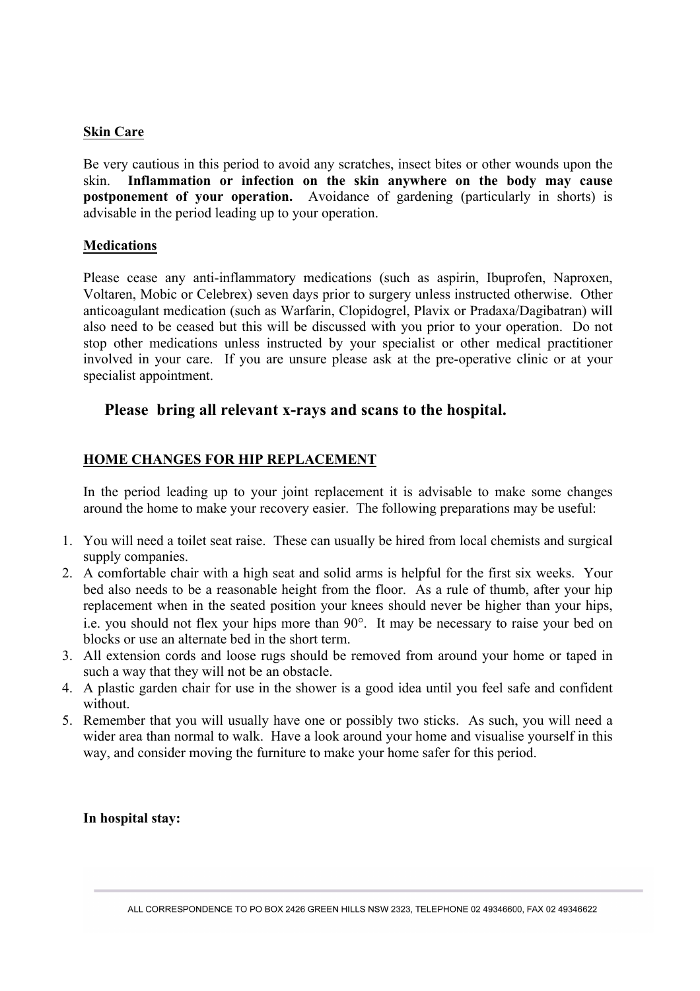#### **Skin Care**

Be very cautious in this period to avoid any scratches, insect bites or other wounds upon the skin. **Inflammation or infection on the skin anywhere on the body may cause postponement of your operation.** Avoidance of gardening (particularly in shorts) is advisable in the period leading up to your operation.

#### **Medications**

Please cease any anti-inflammatory medications (such as aspirin, Ibuprofen, Naproxen, Voltaren, Mobic or Celebrex) seven days prior to surgery unless instructed otherwise. Other anticoagulant medication (such as Warfarin, Clopidogrel, Plavix or Pradaxa/Dagibatran) will also need to be ceased but this will be discussed with you prior to your operation. Do not stop other medications unless instructed by your specialist or other medical practitioner involved in your care. If you are unsure please ask at the pre-operative clinic or at your specialist appointment.

# **Please bring all relevant x-rays and scans to the hospital.**

# **HOME CHANGES FOR HIP REPLACEMENT**

In the period leading up to your joint replacement it is advisable to make some changes around the home to make your recovery easier. The following preparations may be useful:

- 1. You will need a toilet seat raise. These can usually be hired from local chemists and surgical supply companies.
- 2. A comfortable chair with a high seat and solid arms is helpful for the first six weeks. Your bed also needs to be a reasonable height from the floor. As a rule of thumb, after your hip replacement when in the seated position your knees should never be higher than your hips, i.e. you should not flex your hips more than 90°. It may be necessary to raise your bed on blocks or use an alternate bed in the short term.
- 3. All extension cords and loose rugs should be removed from around your home or taped in such a way that they will not be an obstacle.
- 4. A plastic garden chair for use in the shower is a good idea until you feel safe and confident without.
- 5. Remember that you will usually have one or possibly two sticks. As such, you will need a wider area than normal to walk. Have a look around your home and visualise yourself in this way, and consider moving the furniture to make your home safer for this period.

**In hospital stay:**